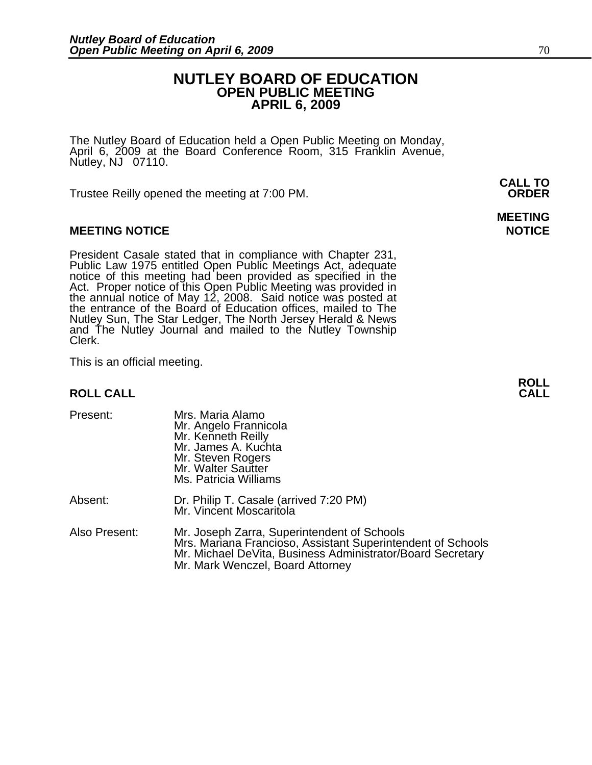## **NUTLEY BOARD OF EDUCATION OPEN PUBLIC MEETING APRIL 6, 2009**

**MEETING** 

The Nutley Board of Education held a Open Public Meeting on Monday, April 6, 2009 at the Board Conference Room, 315 Franklin Avenue, Nutley, NJ 07110.

 **CALL TO**  Trustee Reilly opened the meeting at 7:00 PM. **ORDER**

## **MEETING NOTICE NOTICE AND INCOMEDIATE**

President Casale stated that in compliance with Chapter 231,<br>Public Law 1975 entitled Open Public Meetings Act, adequate<br>notice of this meeting had been provided as specified in the<br>Act. Proper notice of this Open Public M the annual notice of May 12, 2008. Said notice was posted at<br>the entrance of the Board of Education offices, mailed to The Nutley Sun, The Star Ledger, The North Jersey Herald & News and The Nutley Journal and mailed to the Nutley Township Clerk.

This is an official meeting.

# **ROLL ROLL CALL CALL**

| Present:      | Mrs. Maria Alamo<br>Mr. Angelo Frannicola<br>Mr. Kenneth Reilly<br>Mr. James A. Kuchta<br>Mr. Steven Rogers<br>Mr. Walter Sautter<br>Ms. Patricia Williams                                                   |
|---------------|--------------------------------------------------------------------------------------------------------------------------------------------------------------------------------------------------------------|
| Absent:       | Dr. Philip T. Casale (arrived 7:20 PM)<br>Mr. Vincent Moscaritola                                                                                                                                            |
| Also Present: | Mr. Joseph Zarra, Superintendent of Schools<br>Mrs. Mariana Francioso, Assistant Superintendent of Schools<br>Mr. Michael DeVita, Business Administrator/Board Secretary<br>Mr. Mark Wenczel, Board Attorney |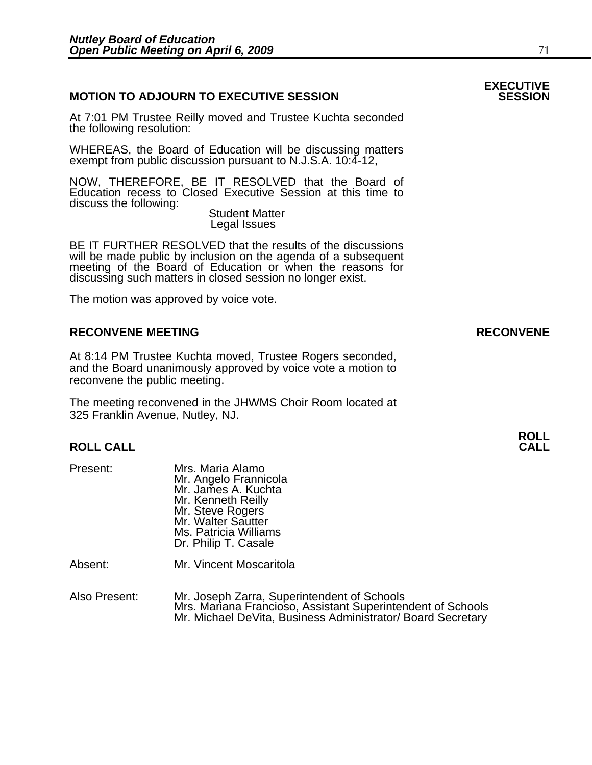## **MOTION TO ADJOURN TO EXECUTIVE SESSION**

At 7:01 PM Trustee Reilly moved and Trustee Kuchta seconded the following resolution:

WHEREAS, the Board of Education will be discussing matters exempt from public discussion pursuant to N.J.S.A. 10:4-12,

NOW, THEREFORE, BE IT RESOLVED that the Board of Education recess to Closed Executive Session at this time to discuss the following:

 Student Matter Legal Issues

BE IT FURTHER RESOLVED that the results of the discussions will be made public by inclusion on the agenda of a subsequent meeting of the Board of Education or when the reasons for discussing such matters in closed session no longer exist.

The motion was approved by voice vote.

## **RECONVENE MEETING RECONVENE**

At 8:14 PM Trustee Kuchta moved, Trustee Rogers seconded, and the Board unanimously approved by voice vote a motion to reconvene the public meeting.

The meeting reconvened in the JHWMS Choir Room located at 325 Franklin Avenue, Nutley, NJ.

Present: Mrs. Maria Alamo Mr. Angelo Frannicola Mr. James A. Kuchta Mr. Kenneth Reilly Mr. Steve Rogers Mr. Walter Sautter Ms. Patricia Williams Dr. Philip T. Casale

Absent: Mr. Vincent Moscaritola

Also Present: Mr. Joseph Zarra, Superintendent of Schools Mrs. Mariana Francioso, Assistant Superintendent of Schools Mr. Michael DeVita, Business Administrator/ Board Secretary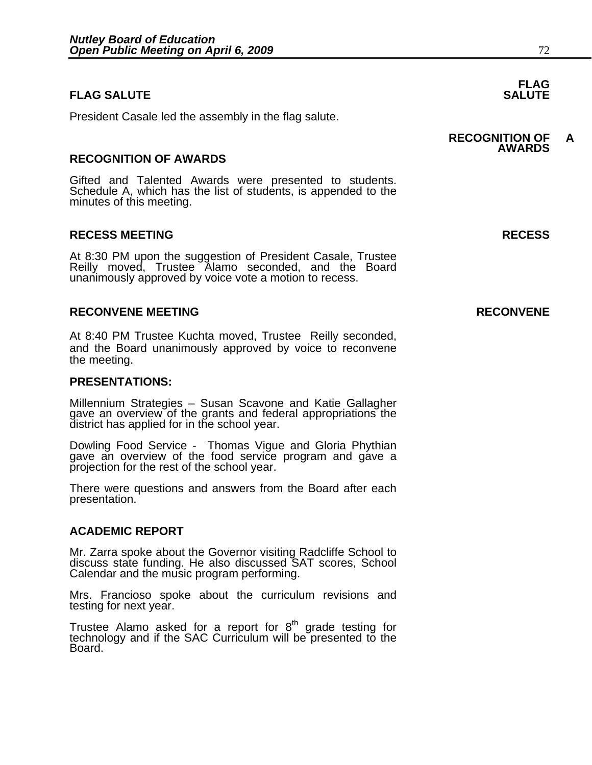## **FLAG SALUTE** SALUTE SALUTE SALUTE SALUTE SALUTE

President Casale led the assembly in the flag salute.

## **RECOGNITION OF AWARDS**

Gifted and Talented Awards were presented to students. Schedule A, which has the list of students, is appended to the minutes of this meeting.

## **RECESS MEETING RECESS**

At 8:30 PM upon the suggestion of President Casale, Trustee Reilly moved, Trustee Alamo seconded, and the Board unanimously approved by voice vote a motion to recess.

## **RECONVENE MEETING RECONVENE**

At 8:40 PM Trustee Kuchta moved, Trustee Reilly seconded, and the Board unanimously approved by voice to reconvene the meeting.

## **PRESENTATIONS:**

Millennium Strategies – Susan Scavone and Katie Gallagher gave an overview of the grants and federal appropriations the district has applied for in the school year.

Dowling Food Service - Thomas Vigue and Gloria Phythian gave an overview of the food service program and gave a projection for the rest of the school year.

There were questions and answers from the Board after each presentation.

## **ACADEMIC REPORT**

Mr. Zarra spoke about the Governor visiting Radcliffe School to discuss state funding. He also discussed SAT scores, School Calendar and the music program performing.

Mrs. Francioso spoke about the curriculum revisions and testing for next year.

Trustee Alamo asked for a report for  $8<sup>th</sup>$  grade testing for technology and if the SAC Curriculum will be presented to the Board.

# **FLAG**

## **RECOGNITION OF A AWARDS**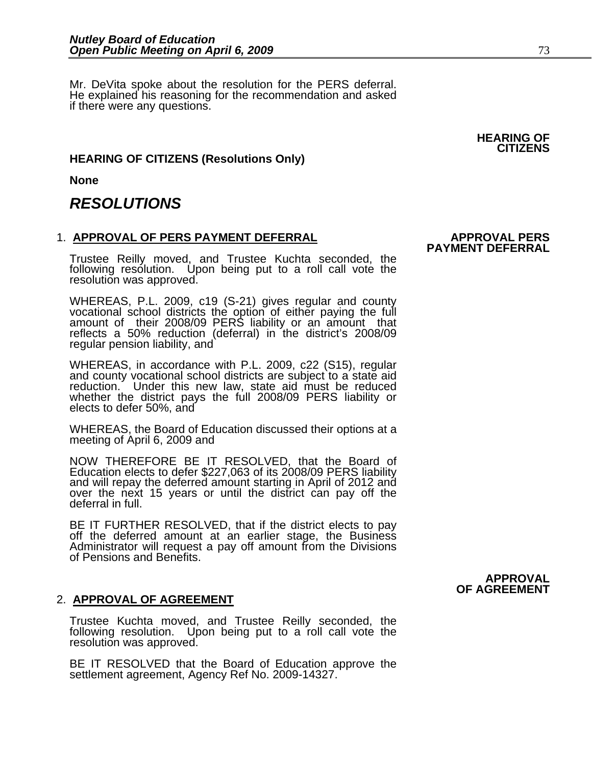Mr. DeVita spoke about the resolution for the PERS deferral. He explained his reasoning for the recommendation and asked if there were any questions.

## **HEARING OF CITIZENS (Resolutions Only)**

**None** 

## *RESOLUTIONS*

## 1. **APPROVAL OF PERS PAYMENT DEFERRAL APPROVAL PERS PAYMENT DEFERRAL**

Trustee Reilly moved, and Trustee Kuchta seconded, the following resolution. Upon being put to a roll call vote the resolution was approved.

WHEREAS, P.L. 2009, c19 (S-21) gives regular and county vocational school districts the option of either paying the full amount of their 2008/09 PERS liability or an amount that reflects a 50% reduction (deferral) in the d

WHEREAS, in accordance with P.L. 2009, c22 (S15), regular and county vocational school districts are subject to a state aid reduction. Under this new law, state aid must be reduced whether the district pays the full 2008/09 PERS liability or elects to defer 50%, and

WHEREAS, the Board of Education discussed their options at a meeting of April 6, 2009 and

NOW THEREFORE BE IT RESOLVED, that the Board of Education elects to defer \$227,063 of its 2008/09 PERS liability and will repay the deferred amount starting in April of 2012 and over the next 15 years or until the district

BE IT FURTHER RESOLVED, that if the district elects to pay off the deferred amount at an earlier stage, the Business Administrator will request a pay off amount from the Divisions of Pensions and Benefits.

## 2. **APPROVAL OF AGREEMENT**

Trustee Kuchta moved, and Trustee Reilly seconded, the following resolution. Upon being put to a roll call vote the resolution was approved.

BE IT RESOLVED that the Board of Education approve the settlement agreement, Agency Ref No. 2009-14327.

**HEARING OF CITIZENS** 

# **APPROVAL OF AGREEMENT**